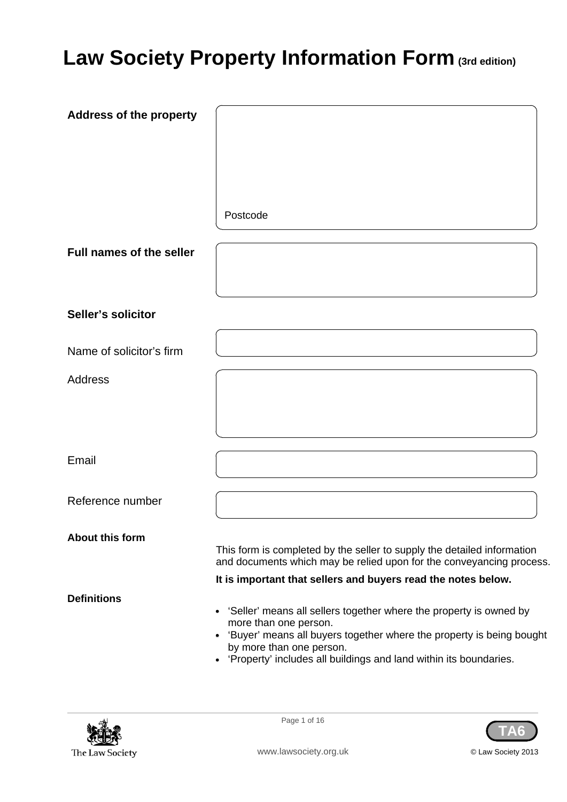# **Law Society Property Information Form (3rd edition)**

| <b>Address of the property</b>  |                                                                                                                                                                                                                                                                            |
|---------------------------------|----------------------------------------------------------------------------------------------------------------------------------------------------------------------------------------------------------------------------------------------------------------------------|
|                                 |                                                                                                                                                                                                                                                                            |
|                                 |                                                                                                                                                                                                                                                                            |
|                                 |                                                                                                                                                                                                                                                                            |
|                                 | Postcode                                                                                                                                                                                                                                                                   |
| <b>Full names of the seller</b> |                                                                                                                                                                                                                                                                            |
| Seller's solicitor              |                                                                                                                                                                                                                                                                            |
| Name of solicitor's firm        |                                                                                                                                                                                                                                                                            |
| <b>Address</b>                  |                                                                                                                                                                                                                                                                            |
|                                 |                                                                                                                                                                                                                                                                            |
| Email                           |                                                                                                                                                                                                                                                                            |
| Reference number                |                                                                                                                                                                                                                                                                            |
| <b>About this form</b>          |                                                                                                                                                                                                                                                                            |
|                                 | This form is completed by the seller to supply the detailed information<br>and documents which may be relied upon for the conveyancing process.                                                                                                                            |
|                                 | It is important that sellers and buyers read the notes below.                                                                                                                                                                                                              |
| <b>Definitions</b>              | • 'Seller' means all sellers together where the property is owned by<br>more than one person.<br>• 'Buyer' means all buyers together where the property is being bought<br>by more than one person.<br>• 'Property' includes all buildings and land within its boundaries. |



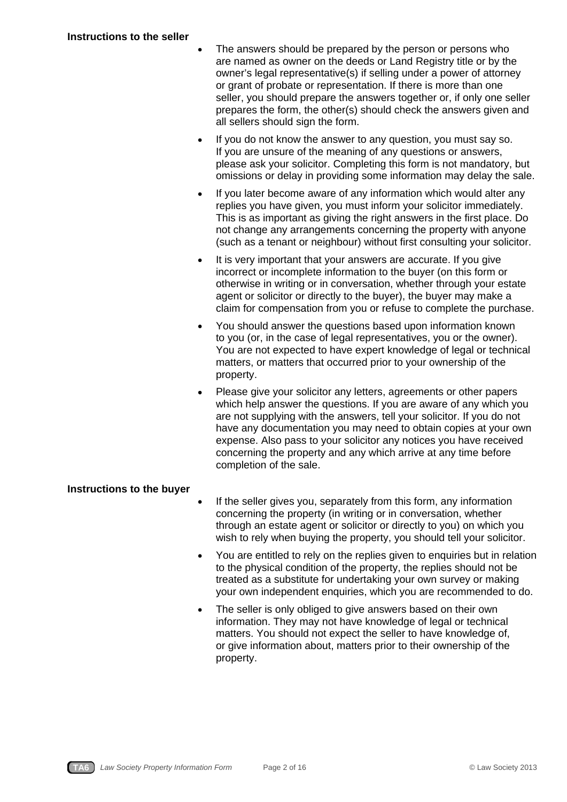- The answers should be prepared by the person or persons who are named as owner on the deeds or Land Registry title or by the owner's legal representative(s) if selling under a power of attorney or grant of probate or representation. If there is more than one seller, you should prepare the answers together or, if only one seller prepares the form, the other(s) should check the answers given and all sellers should sign the form.
- If you do not know the answer to any question, you must say so. If you are unsure of the meaning of any questions or answers, please ask your solicitor. Completing this form is not mandatory, but omissions or delay in providing some information may delay the sale.
- If you later become aware of any information which would alter any replies you have given, you must inform your solicitor immediately. This is as important as giving the right answers in the first place. Do not change any arrangements concerning the property with anyone (such as a tenant or neighbour) without first consulting your solicitor.
- It is very important that your answers are accurate. If you give incorrect or incomplete information to the buyer (on this form or otherwise in writing or in conversation, whether through your estate agent or solicitor or directly to the buyer), the buyer may make a claim for compensation from you or refuse to complete the purchase.
- You should answer the questions based upon information known to you (or, in the case of legal representatives, you or the owner). You are not expected to have expert knowledge of legal or technical matters, or matters that occurred prior to your ownership of the property.
- Please give your solicitor any letters, agreements or other papers which help answer the questions. If you are aware of any which you are not supplying with the answers, tell your solicitor. If you do not have any documentation you may need to obtain copies at your own expense. Also pass to your solicitor any notices you have received concerning the property and any which arrive at any time before completion of the sale.

# **Instructions to the buyer**

- If the seller gives you, separately from this form, any information concerning the property (in writing or in conversation, whether through an estate agent or solicitor or directly to you) on which you wish to rely when buying the property, you should tell your solicitor.
- You are entitled to rely on the replies given to enquiries but in relation to the physical condition of the property, the replies should not be treated as a substitute for undertaking your own survey or making your own independent enquiries, which you are recommended to do.
- The seller is only obliged to give answers based on their own information. They may not have knowledge of legal or technical matters. You should not expect the seller to have knowledge of, or give information about, matters prior to their ownership of the property.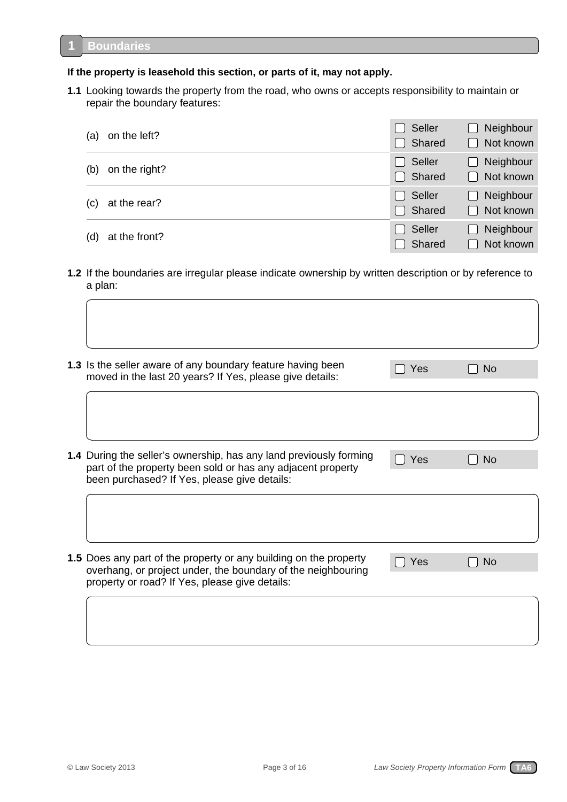**1**

### **If the property is leasehold this section, or parts of it, may not apply.**

**1.1** Looking towards the property from the road, who owns or accepts responsibility to maintain or repair the boundary features:

| (a) | on the left?  | $\Box$ Seller<br>Shared        | Neighbour<br>$\blacksquare$<br>Not known<br>$\Box$ |
|-----|---------------|--------------------------------|----------------------------------------------------|
| (b) | on the right? | $\Box$ Seller<br>$\Box$ Shared | Neighbour<br>$\Box$<br>Not known<br>$\Box$         |
| (c) | at the rear?  | $\Box$ Seller<br>□ Shared      | Neighbour<br>$\Box$<br>$\Box$ Not known            |
| (d) | at the front? | $\Box$ Seller<br>Shared        | Neighbour<br>$\blacksquare$<br>Not known           |

**1.2** If the boundaries are irregular please indicate ownership by written description or by reference to a plan:

| 1.3 Is the seller aware of any boundary feature having been<br>moved in the last 20 years? If Yes, please give details:                                                             | Yes | <b>No</b> |
|-------------------------------------------------------------------------------------------------------------------------------------------------------------------------------------|-----|-----------|
|                                                                                                                                                                                     |     |           |
| 1.4 During the seller's ownership, has any land previously forming<br>part of the property been sold or has any adjacent property<br>been purchased? If Yes, please give details:   | Yes | <b>No</b> |
|                                                                                                                                                                                     |     |           |
| 1.5 Does any part of the property or any building on the property<br>overhang, or project under, the boundary of the neighbouring<br>property or road? If Yes, please give details: | Yes | <b>No</b> |
|                                                                                                                                                                                     |     |           |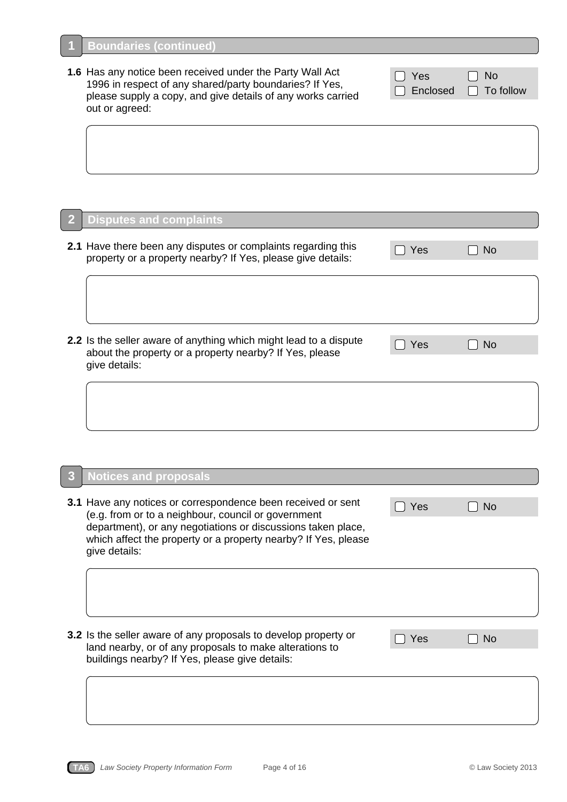**1**

L

**1.6** Has any notice been received under the Party Wall Act 1996 in respect of any shared/party boundaries? If Yes, please supply a copy, and give details of any works carried out or agreed:

| Yes | $\Box$ No              |
|-----|------------------------|
|     | Enclosed [ ] To follow |

| $\overline{2}$ | <b>Disputes and complaints</b>                                                                                                                |     |                |
|----------------|-----------------------------------------------------------------------------------------------------------------------------------------------|-----|----------------|
|                | 2.1 Have there been any disputes or complaints regarding this<br>property or a property nearby? If Yes, please give details:                  | Yes | N <sub>o</sub> |
|                |                                                                                                                                               |     |                |
|                | 2.2 Is the seller aware of anything which might lead to a dispute<br>about the property or a property nearby? If Yes, please<br>give details: | Yes | <b>No</b>      |
|                |                                                                                                                                               |     |                |

|  | <b>3</b> Notices and proposals |  |
|--|--------------------------------|--|
|  |                                |  |

| <b>3.1</b> Have any notices or correspondence been received or sent<br>(e.g. from or to a neighbour, council or government<br>department), or any negotiations or discussions taken place,<br>which affect the property or a property nearby? If Yes, please<br>give details: | Yes | <b>No</b>      |
|-------------------------------------------------------------------------------------------------------------------------------------------------------------------------------------------------------------------------------------------------------------------------------|-----|----------------|
|                                                                                                                                                                                                                                                                               |     |                |
| 3.2 Is the seller aware of any proposals to develop property or<br>land nearby, or of any proposals to make alterations to<br>buildings nearby? If Yes, please give details:                                                                                                  | Yes | N <sub>0</sub> |
|                                                                                                                                                                                                                                                                               |     |                |

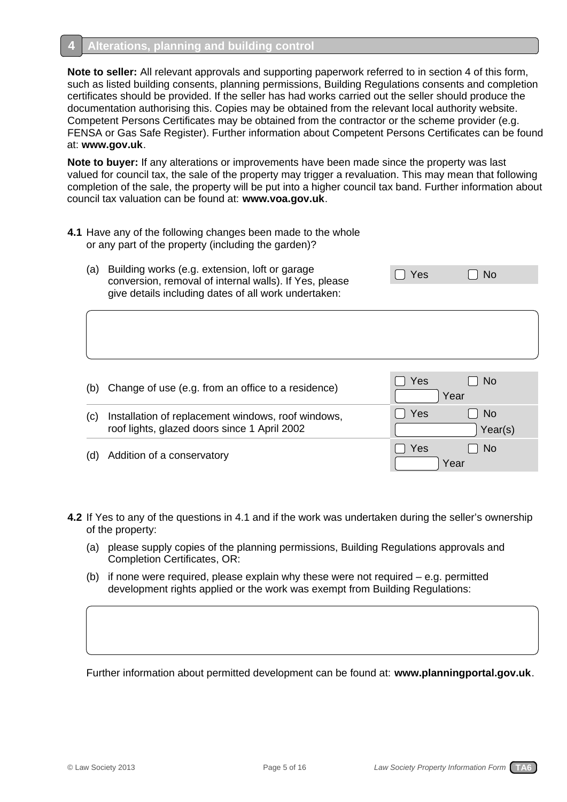# **Alterations, planning and building control**

**4**

**Note to seller:** All relevant approvals and supporting paperwork referred to in section 4 of this form, such as listed building consents, planning permissions, Building Regulations consents and completion certificates should be provided. If the seller has had works carried out the seller should produce the documentation authorising this. Copies may be obtained from the relevant local authority website. Competent Persons Certificates may be obtained from the contractor or the scheme provider (e.g. FENSA or Gas Safe Register). Further information about Competent Persons Certificates can be found at: **www.gov.uk**.

**Note to buyer:** If any alterations or improvements have been made since the property was last valued for council tax, the sale of the property may trigger a revaluation. This may mean that following completion of the sale, the property will be put into a higher council tax band. Further information about council tax valuation can be found at: **www.voa.gov.uk**.

- **4.1** Have any of the following changes been made to the whole or any part of the property (including the garden)?
	- (a) Building works (e.g. extension, loft or garage  $\Box$  Yes  $\Box$  No conversion, removal of internal walls). If Yes, please give details including dates of all work undertaken:

| (b) | Change of use (e.g. from an office to a residence)                                                 | <b>No</b><br>Yes<br>Year    |
|-----|----------------------------------------------------------------------------------------------------|-----------------------------|
| (C) | Installation of replacement windows, roof windows,<br>roof lights, glazed doors since 1 April 2002 | Yes<br><b>No</b><br>Year(s) |
|     | Addition of a conservatory                                                                         | No.<br>Yes<br>Year          |

- **4.2** If Yes to any of the questions in 4.1 and if the work was undertaken during the seller's ownership of the property:
	- (a) please supply copies of the planning permissions, Building Regulations approvals and Completion Certificates, OR:
	- (b) if none were required, please explain why these were not required e.g. permitted development rights applied or the work was exempt from Building Regulations:

Further information about permitted development can be found at: **www.planningportal.gov.uk**.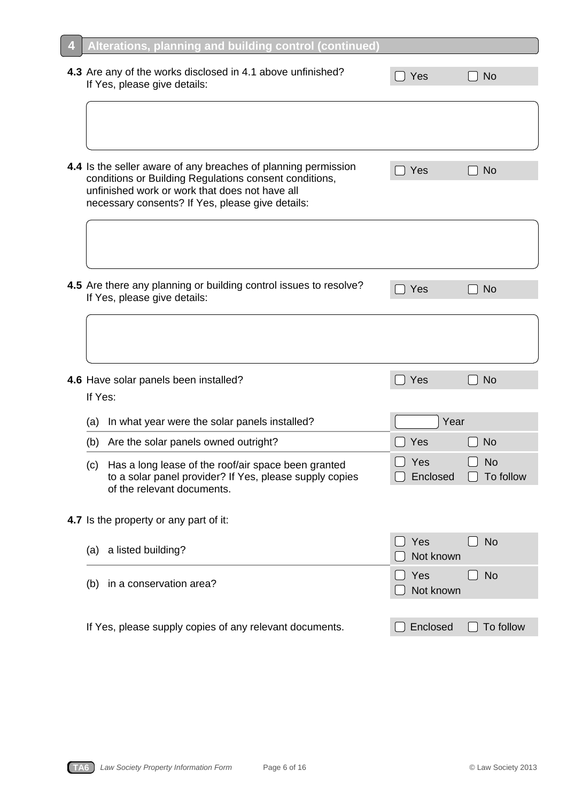|         | <b>LOXULL</b>                                                                                                                                                                                                                  |                  |                        |
|---------|--------------------------------------------------------------------------------------------------------------------------------------------------------------------------------------------------------------------------------|------------------|------------------------|
|         | 4.3 Are any of the works disclosed in 4.1 above unfinished?<br>If Yes, please give details:                                                                                                                                    | Yes              | <b>No</b>              |
|         |                                                                                                                                                                                                                                |                  |                        |
|         | 4.4 Is the seller aware of any breaches of planning permission<br>conditions or Building Regulations consent conditions,<br>unfinished work or work that does not have all<br>necessary consents? If Yes, please give details: | Yes              | <b>No</b>              |
|         |                                                                                                                                                                                                                                |                  |                        |
|         | 4.5 Are there any planning or building control issues to resolve?<br>If Yes, please give details:                                                                                                                              | Yes              | <b>No</b>              |
|         |                                                                                                                                                                                                                                |                  |                        |
| If Yes: | 4.6 Have solar panels been installed?                                                                                                                                                                                          | Yes              | <b>No</b>              |
| (a)     | In what year were the solar panels installed?                                                                                                                                                                                  | Year             |                        |
| (b)     | Are the solar panels owned outright?                                                                                                                                                                                           | Yes              | <b>No</b>              |
| (c)     | Has a long lease of the roof/air space been granted<br>to a solar panel provider? If Yes, please supply copies<br>of the relevant documents.                                                                                   | Yes<br>Enclosed  | <b>No</b><br>To follow |
|         | 4.7 Is the property or any part of it:                                                                                                                                                                                         |                  |                        |
| (a)     | a listed building?                                                                                                                                                                                                             | Yes<br>Not known | <b>No</b>              |
| (b)     | in a conservation area?                                                                                                                                                                                                        | Yes<br>Not known | <b>No</b>              |
|         | If Yes, please supply copies of any relevant documents.                                                                                                                                                                        | Enclosed         | To follow              |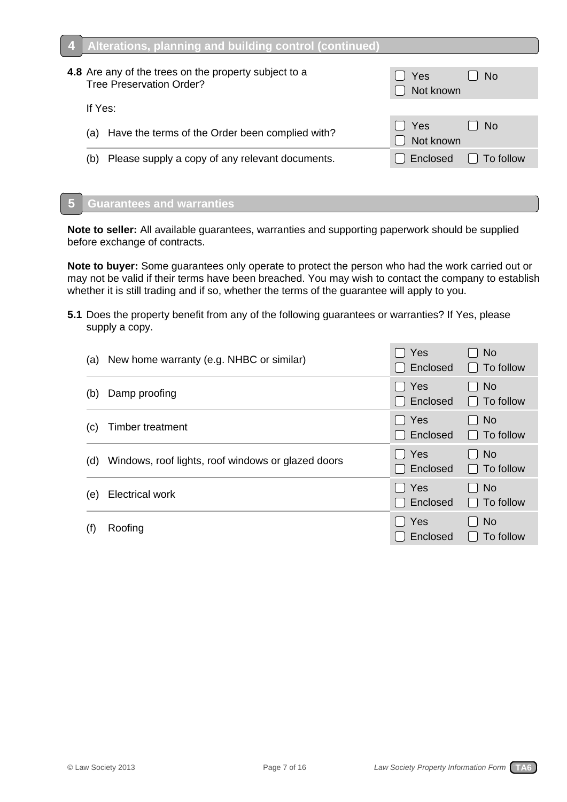| 4 Alterations, planning and building control (continued)                                 |                  |                  |
|------------------------------------------------------------------------------------------|------------------|------------------|
| 4.8 Are any of the trees on the property subject to a<br><b>Tree Preservation Order?</b> | Yes<br>Not known | <b>No</b>        |
| If Yes:                                                                                  |                  |                  |
| (a) Have the terms of the Order been complied with?                                      | Yes<br>Not known | l No             |
| Please supply a copy of any relevant documents.<br>(b)                                   | Enclosed         | $\Box$ To follow |
|                                                                                          |                  |                  |

#### **Guarantees and warranties 5**

**Note to seller:** All available guarantees, warranties and supporting paperwork should be supplied before exchange of contracts.

**Note to buyer:** Some guarantees only operate to protect the person who had the work carried out or may not be valid if their terms have been breached. You may wish to contact the company to establish whether it is still trading and if so, whether the terms of the guarantee will apply to you.

**5.1** Does the property benefit from any of the following guarantees or warranties? If Yes, please supply a copy.

| (a) | New home warranty (e.g. NHBC or similar)           | Yes<br>Enclosed                 | <b>No</b><br>To follow        |
|-----|----------------------------------------------------|---------------------------------|-------------------------------|
| (b) | Damp proofing                                      | $\Box$ Yes<br>Enclosed          | <b>No</b><br>To follow<br>I I |
| (C) | Timber treatment                                   | $\Box$ Yes<br>□ Enclosed        | N <sub>o</sub><br>To follow   |
| (d) | Windows, roof lights, roof windows or glazed doors | I Yes<br>Enclosed               | <b>No</b><br>To follow        |
| (e) | <b>Electrical work</b>                             | $\Box$ Yes<br>Enclosed          | <b>No</b><br>To follow        |
| (f) | Roofing                                            | Yes<br>$\mathbf{L}$<br>Enclosed | <b>No</b><br>To follow        |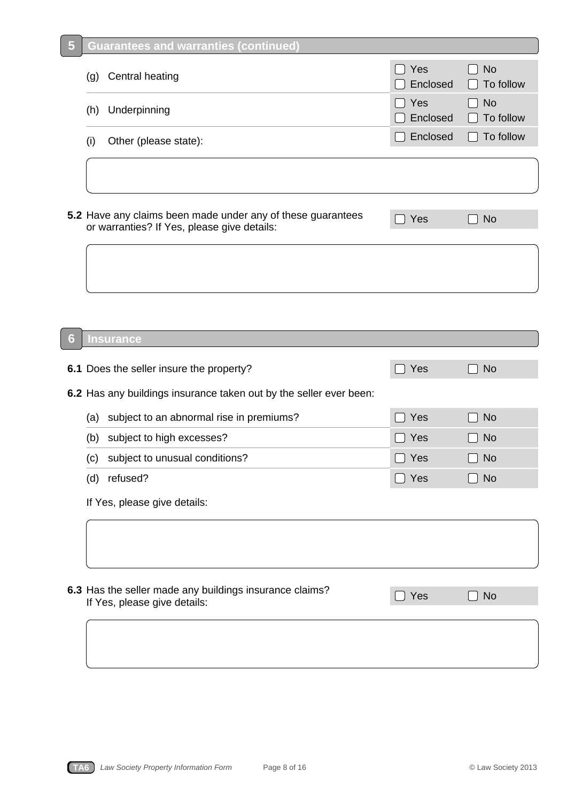| 5 | <u>Guarantees and warranties (continued)</u>                                                               |                 |                        |
|---|------------------------------------------------------------------------------------------------------------|-----------------|------------------------|
|   | Central heating<br>(g)                                                                                     | Yes<br>Enclosed | <b>No</b><br>To follow |
|   | Underpinning<br>(h)                                                                                        | Yes<br>Enclosed | <b>No</b><br>To follow |
|   | Other (please state):<br>(i)                                                                               | Enclosed        | To follow              |
|   |                                                                                                            |                 |                        |
|   | 5.2 Have any claims been made under any of these guarantees<br>or warranties? If Yes, please give details: | Yes             | <b>No</b>              |
|   |                                                                                                            |                 |                        |
|   |                                                                                                            |                 |                        |
| 6 | Insurance                                                                                                  |                 |                        |
|   | 6.1 Does the seller insure the property?                                                                   | Yes             | <b>No</b>              |
|   | 6.2 Has any buildings insurance taken out by the seller ever been:                                         |                 |                        |
|   | subject to an abnormal rise in premiums?<br>(a)                                                            | Yes             | <b>No</b>              |
|   | subject to high excesses?<br>(b)                                                                           | Yes             | <b>No</b>              |
|   | (c) subject to unusual conditions?                                                                         | $\Box$ Yes      | <b>No</b>              |
|   | (d) refused?                                                                                               | $\Box$ Yes      | <b>No</b>              |
|   | If Yes, please give details:                                                                               |                 |                        |
|   |                                                                                                            |                 |                        |
|   | 6.3 Has the seller made any buildings insurance claims?<br>If Yes, please give details:                    | Yes             | <b>No</b>              |
|   |                                                                                                            |                 |                        |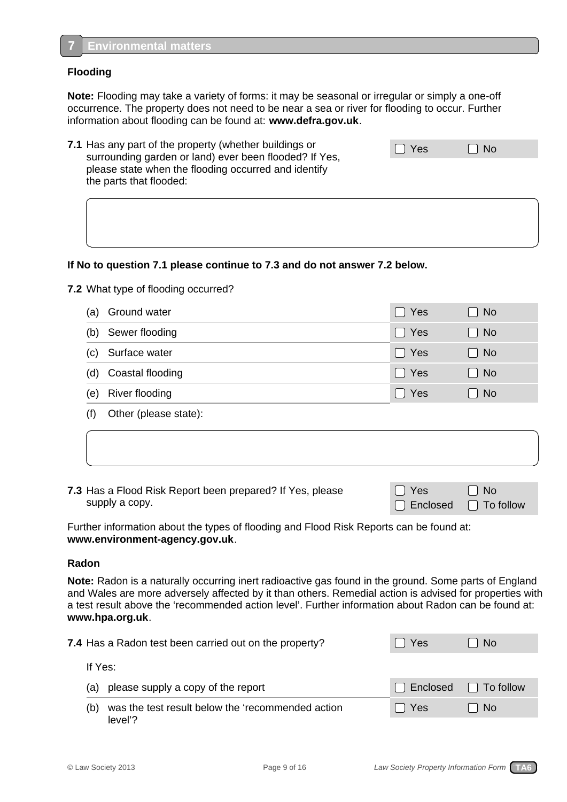### **Flooding**

**7**

**Note:** Flooding may take a variety of forms: it may be seasonal or irregular or simply a one-off occurrence. The property does not need to be near a sea or river for flooding to occur. Further information about flooding can be found at: **www.defra.gov.uk**.

| 7.1 Has any part of the property (whether buildings or<br>surrounding garden or land) ever been flooded? If Yes, | $\Box$ Yes | $\Box$ No |  |
|------------------------------------------------------------------------------------------------------------------|------------|-----------|--|
| please state when the flooding occurred and identify<br>the parts that flooded:                                  |            |           |  |

### **If No to question 7.1 please continue to 7.3 and do not answer 7.2 below.**

**7.2** What type of flooding occurred?

| (a) | Ground water          | $\Box$ Yes | ]No       |
|-----|-----------------------|------------|-----------|
| (b) | Sewer flooding        | $\Box$ Yes | $\Box$ No |
| (C) | Surface water         | $\Box$ Yes | $\Box$ No |
| (d) | Coastal flooding      | $\Box$ Yes | $\Box$ No |
| (e) | River flooding        | $\Box$ Yes | No        |
|     | Other (please state): |            |           |

**7.3** Has a Flood Risk Report been prepared? If Yes, please supply a copy.

| II Yes                           | $\Box$ No |
|----------------------------------|-----------|
| $\Box$ Enclosed $\Box$ To follow |           |

Further information about the types of flooding and Flood Risk Reports can be found at: **www.environment-agency.gov.uk**.

### **Radon**

**Note:** Radon is a naturally occurring inert radioactive gas found in the ground. Some parts of England and Wales are more adversely affected by it than others. Remedial action is advised for properties with a test result above the 'recommended action level'. Further information about Radon can be found at: **www.hpa.org.uk**.

| 7.4 Has a Radon test been carried out on the property?              | Yes     | No.                    |
|---------------------------------------------------------------------|---------|------------------------|
| If Yes:                                                             |         |                        |
| please supply a copy of the report<br>(a)                           |         | Enclosed [ ] To follow |
| was the test result below the 'recommended action<br>(b)<br>level'? | I l Yes | No.                    |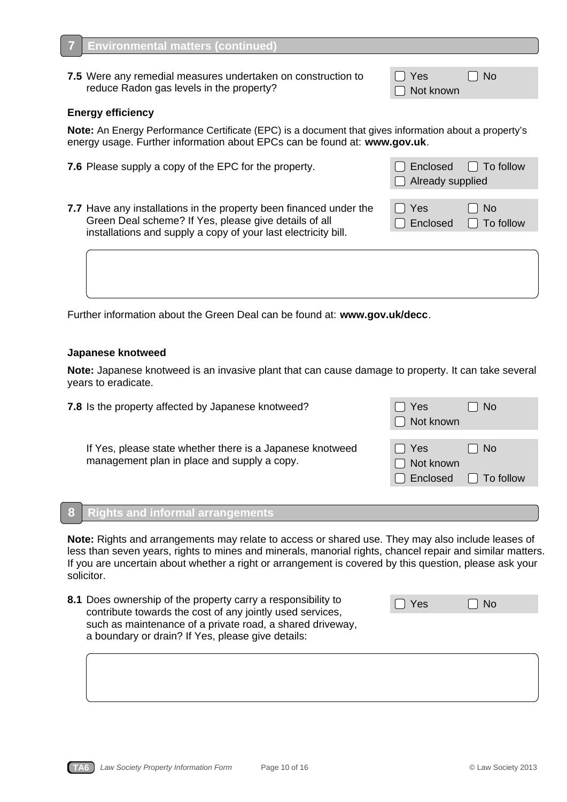**Environmental matters (continued)**

### **Energy efficiency**

**7**

**Note:** An Energy Performance Certificate (EPC) is a document that gives information about a property's energy usage. Further information about EPCs can be found at: **www.gov.uk**.

**7.5** Were any remedial measures undertaken on construction to  $\Box$  Yes  $\Box$  No reduce Radon gas levels in the property?  $\Box$  Not known

- **7.6** Please supply a copy of the EPC for the property. **The EXA CO** Enclosed To follow
- **7.7** Have any installations in the property been financed under the  $\Box$  Yes  $\Box$  No Green Deal scheme? If Yes, please give details of all  $\Box$  Enclosed  $\Box$  To follow installations and supply a copy of your last electricity bill.

Further information about the Green Deal can be found at: **www.gov.uk/decc**.

### **Japanese knotweed**

**Note:** Japanese knotweed is an invasive plant that can cause damage to property. It can take several years to eradicate.

**7.8** Is the property affected by Japanese knotweed?  $\Box$  Yes  $\Box$  No □ Not known If Yes, please state whether there is a Japanese knotweed  $\Box$  Yes  $\Box$  No management plan in place and supply a copy.  $\Box$  Not known  $\Box$  Enclosed  $\Box$  To follow

#### **Rights and informal arrangements 8**

**Note:** Rights and arrangements may relate to access or shared use. They may also include leases of less than seven years, rights to mines and minerals, manorial rights, chancel repair and similar matters. If you are uncertain about whether a right or arrangement is covered by this question, please ask your solicitor.

**8.1** Does ownership of the property carry a responsibility to contribute towards the cost of any jointly used services, such as maintenance of a private road, a shared driveway, a boundary or drain? If Yes, please give details:

|  | Yes. |  | -No |  |
|--|------|--|-----|--|
|  |      |  |     |  |

□ Already supplied

|  | W |  |
|--|---|--|
|  |   |  |
|  |   |  |

**TA6** *Law Society Property Information Form* Page 10 of 16 © Law Society 2013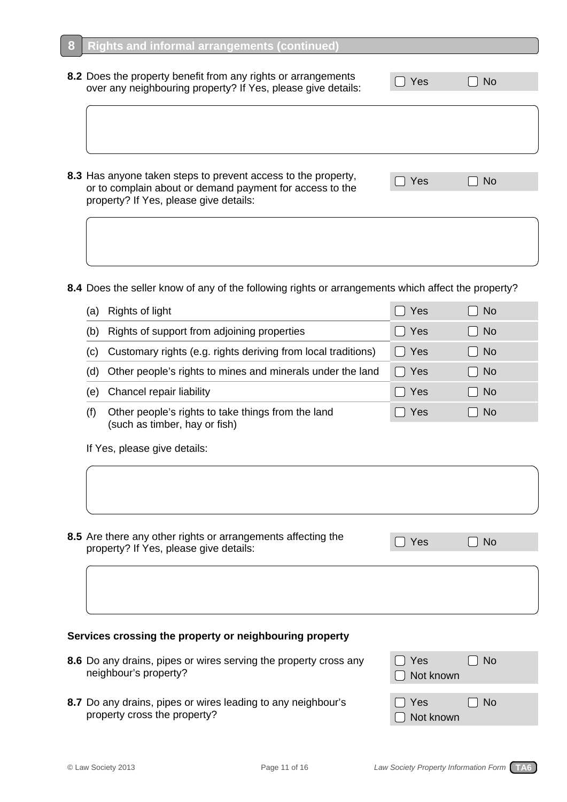| 8.2 Does the property benefit from any rights or arrangements<br>over any neighbouring property? If Yes, please give details:                                       | Yes | No.       |  |
|---------------------------------------------------------------------------------------------------------------------------------------------------------------------|-----|-----------|--|
|                                                                                                                                                                     |     |           |  |
|                                                                                                                                                                     |     |           |  |
| 8.3 Has anyone taken steps to prevent access to the property,<br>or to complain about or demand payment for access to the<br>property? If Yes, please give details: | Yes | <b>No</b> |  |
|                                                                                                                                                                     |     |           |  |

**8.4** Does the seller know of any of the following rights or arrangements which affect the property?

| (a) | Rights of light                                                                     | Yes      | <b>No</b> |  |
|-----|-------------------------------------------------------------------------------------|----------|-----------|--|
| (b) | Rights of support from adjoining properties                                         | Yes      | <b>No</b> |  |
| (c) | Customary rights (e.g. rights deriving from local traditions)                       | Yes      | <b>No</b> |  |
| (d) | Other people's rights to mines and minerals under the land                          | Yes<br>L | <b>No</b> |  |
| (e) | Chancel repair liability                                                            | Yes      | <b>No</b> |  |
| (f) | Other people's rights to take things from the land<br>(such as timber, hay or fish) | Yes      | <b>No</b> |  |
|     | If Yes, please give details:                                                        |          |           |  |
|     |                                                                                     |          |           |  |

**8.5** Are there any other rights or arrangements affecting the  $\Box$  Yes  $\Box$  No property? If Yes, please give details:

## **Services crossing the property or neighbouring property**

- **8.6** Do any drains, pipes or wires serving the property cross any neighbour's property?
- 8.7 Do any drains, pipes or wires leading to any neighbour's property cross the property?

| l I Yes<br>□ Not known    | $\Box$ No |
|---------------------------|-----------|
| $\Box$ Yes<br>□ Not known | $\Box$ No |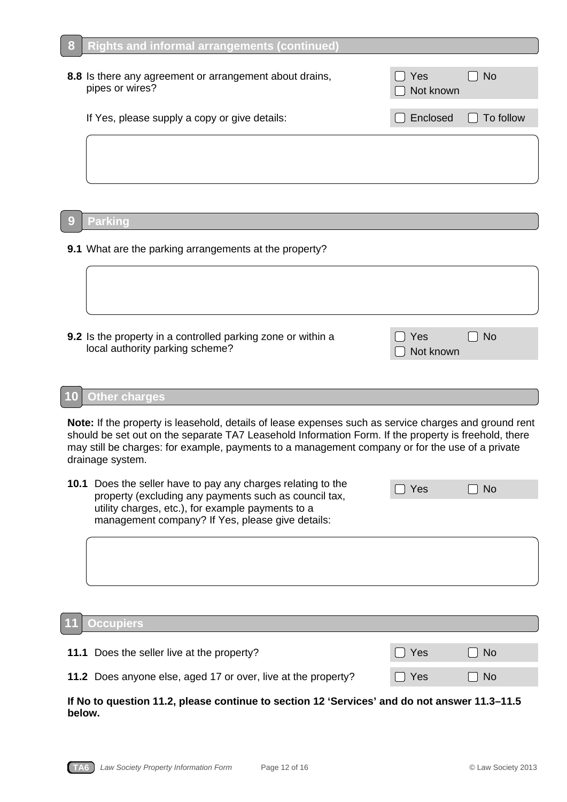| 8 | <b>Rights and informal arrangements (continued)</b>                        |                         |           |
|---|----------------------------------------------------------------------------|-------------------------|-----------|
|   | 8.8 Is there any agreement or arrangement about drains,<br>pipes or wires? | <b>Yes</b><br>Not known | <b>No</b> |
|   | If Yes, please supply a copy or give details:                              | Enclosed                | To follow |
|   |                                                                            |                         |           |
| 9 | <b>Parking</b>                                                             |                         |           |
|   | 9.1 What are the parking arrangements at the property?                     |                         |           |

**9.2** Is the property in a controlled parking zone or within a  $\qquad \qquad$ local authority parking scheme? Not known that we have a set of the set of the set of the set of the set of the set of the set of the set of the set of the set of the set of the set of the set of the set of the set of the

| l Yes     | $\Box$ No |
|-----------|-----------|
| Not known |           |

#### **Other charges 10**

**Note:** If the property is leasehold, details of lease expenses such as service charges and ground rent should be set out on the separate TA7 Leasehold Information Form. If the property is freehold, there may still be charges: for example, payments to a management company or for the use of a private drainage system.

| <b>10.1</b> Does the seller have to pay any charges relating to the<br>property (excluding any payments such as council tax, | $\bigcap$ Yes | $\Box$ No |
|------------------------------------------------------------------------------------------------------------------------------|---------------|-----------|
| utility charges, etc.), for example payments to a                                                                            |               |           |
| management company? If Yes, please give details:                                                                             |               |           |

#### **Occupiers 11**

| 11.1 Does the seller live at the property?                    | II Yes | l I No |
|---------------------------------------------------------------|--------|--------|
| 11.2 Does anyone else, aged 17 or over, live at the property? | II Yes | l I No |

### **If No to question 11.2, please continue to section 12 'Services' and do not answer 11.3–11.5 below.**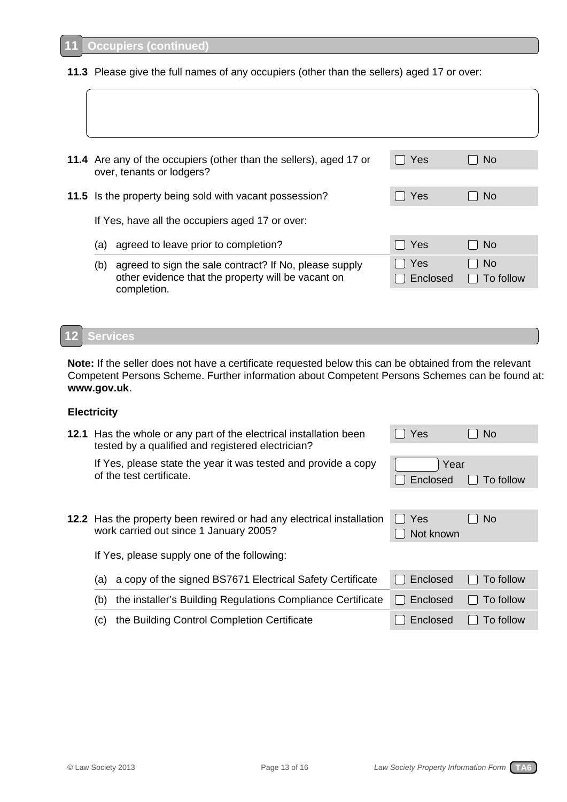completion.

**11.3** Please give the full names of any occupiers (other than the sellers) aged 17 or over:

| 11.4 Are any of the occupiers (other than the sellers), aged 17 or<br>over, tenants or lodgers?                     | Yes             | <b>No</b>              |
|---------------------------------------------------------------------------------------------------------------------|-----------------|------------------------|
| 11.5 Is the property being sold with vacant possession?                                                             | Yes             | <b>No</b>              |
| If Yes, have all the occupiers aged 17 or over:                                                                     |                 |                        |
| agreed to leave prior to completion?<br>(a)                                                                         | Yes             | <b>No</b>              |
| agreed to sign the sale contract? If No, please supply<br>(b)<br>other evidence that the property will be vacant on | Yes<br>Enclosed | <b>No</b><br>To follow |

#### **Services 12**

**Note:** If the seller does not have a certificate requested below this can be obtained from the relevant Competent Persons Scheme. Further information about Competent Persons Schemes can be found at: **www.gov.uk**.

### **Electricity**

| 12.1 Has the whole or any part of the electrical installation been<br>tested by a qualified and registered electrician? |                                                                                                                 | Yes              | <b>No</b>      |
|-------------------------------------------------------------------------------------------------------------------------|-----------------------------------------------------------------------------------------------------------------|------------------|----------------|
|                                                                                                                         | If Yes, please state the year it was tested and provide a copy<br>of the test certificate.                      | Year<br>Enclosed | To follow      |
|                                                                                                                         | 12.2 Has the property been rewired or had any electrical installation<br>work carried out since 1 January 2005? | Yes<br>Not known | N <sub>o</sub> |
|                                                                                                                         | If Yes, please supply one of the following:                                                                     |                  |                |
| (a)                                                                                                                     | a copy of the signed BS7671 Electrical Safety Certificate                                                       | Enclosed         | To follow      |
| (b)                                                                                                                     | the installer's Building Regulations Compliance Certificate                                                     | Enclosed         | To follow      |
| (c)                                                                                                                     | the Building Control Completion Certificate                                                                     | Enclosed         | To follow      |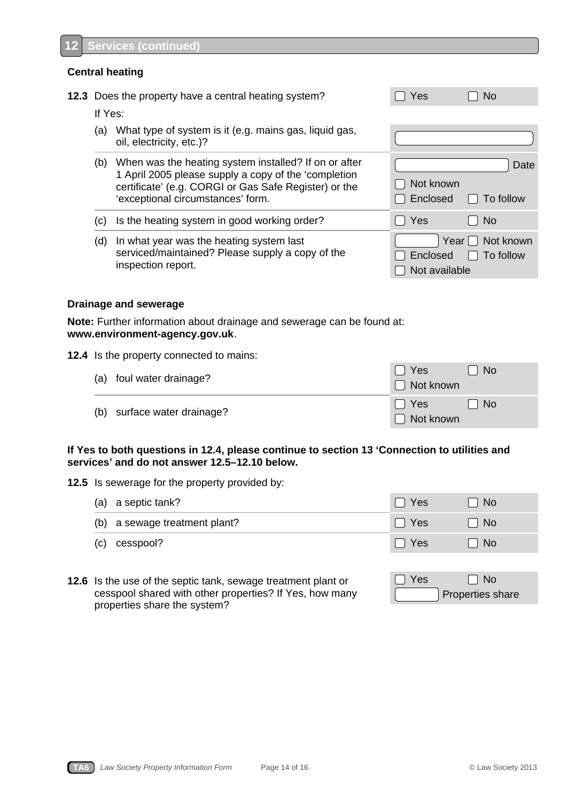### **Central heating**

|         | 12.3 Does the property have a central heating system?                                                                                                                                                       | Yes                                 | No.                         |
|---------|-------------------------------------------------------------------------------------------------------------------------------------------------------------------------------------------------------------|-------------------------------------|-----------------------------|
| If Yes: |                                                                                                                                                                                                             |                                     |                             |
| (a)     | What type of system is it (e.g. mains gas, liquid gas,<br>oil, electricity, etc.)?                                                                                                                          |                                     |                             |
| (b)     | When was the heating system installed? If on or after<br>1 April 2005 please supply a copy of the 'completion<br>certificate' (e.g. CORGI or Gas Safe Register) or the<br>'exceptional circumstances' form. | Not known<br>Enclosed               | Date<br>To follow           |
| (c)     | Is the heating system in good working order?                                                                                                                                                                | Yes                                 | <b>No</b>                   |
| (d)     | In what year was the heating system last<br>serviced/maintained? Please supply a copy of the<br>inspection report.                                                                                          | Year  <br>Enclosed<br>Not available | Not known<br>To follow<br>L |

## **Drainage and sewerage**

**Note:** Further information about drainage and sewerage can be found at: **www.environment-agency.gov.uk**.

### **12.4** Is the property connected to mains:

| (a) foul water drainage?    | . I Yes<br>$\Box$ Not known | No.       |
|-----------------------------|-----------------------------|-----------|
| (b) surface water drainage? | III Yes<br>$\Box$ Not known | $\Box$ No |

### **If Yes to both questions in 12.4, please continue to section 13 'Connection to utilities and services' and do not answer 12.5–12.10 below.**

**12.5** Is sewerage for the property provided by:

|     | (a) a septic tank?            | Yes        | - No |
|-----|-------------------------------|------------|------|
|     | (b) a sewage treatment plant? | <b>Yes</b> | l No |
| (c) | cesspool?                     | Yes        | No   |

**12.6** Is the use of the septic tank, sewage treatment plant or cesspool shared with other properties? If Yes, how many properties share the system?

| I Yes | l I No           |
|-------|------------------|
|       | Properties share |

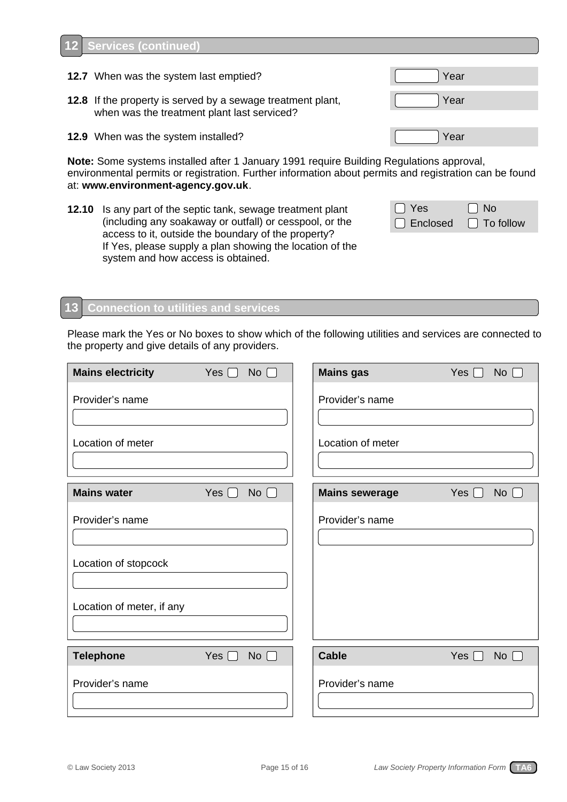#### **Services (continued) 12**

- **12.7** When was the system last emptied? The state of the system last emptied?
- **12.8** If the property is served by a sewage treatment plant, when was the treatment plant last serviced?
- **12.9** When was the system installed? The state of the system installed?

**Note:** Some systems installed after 1 January 1991 require Building Regulations approval, environmental permits or registration. Further information about permits and registration can be found at: **www.environment-agency.gov.uk**.

**12.10** Is any part of the septic tank, sewage treatment plant (including any soakaway or outfall) or cesspool, or the access to it, outside the boundary of the property? If Yes, please supply a plan showing the location of the system and how access is obtained.

| $\Box$ Yes                       | $\Box$ No |
|----------------------------------|-----------|
| $\Box$ Enclosed $\Box$ To follow |           |

#### **Connection to utilities and services 13**

Please mark the Yes or No boxes to show which of the following utilities and services are connected to the property and give details of any providers.

| <b>Mains electricity</b>                                             | Yes $\Box$<br>$No$ $\Box$ | <b>Mains gas</b>      | Yes $\Box$ | <b>No</b> |
|----------------------------------------------------------------------|---------------------------|-----------------------|------------|-----------|
| Provider's name                                                      |                           | Provider's name       |            |           |
| Location of meter                                                    |                           | Location of meter     |            |           |
| <b>Mains water</b>                                                   | No $\Box$<br>Yes $\Box$   | <b>Mains sewerage</b> | Yes $\Box$ | No        |
| Provider's name<br>Location of stopcock<br>Location of meter, if any |                           | Provider's name       |            |           |
| <b>Telephone</b>                                                     | Yes $\Box$<br>No $\Box$   | <b>Cable</b>          | Yes $\Box$ | No        |
| Provider's name                                                      |                           | Provider's name       |            |           |